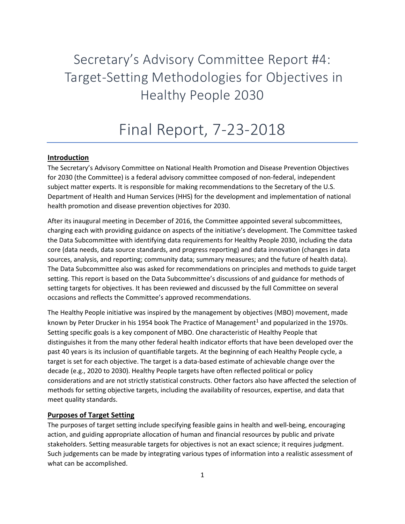Secretary's Advisory Committee Report #4: Target-Setting Methodologies for Objectives in Healthy People 2030

# Final Report, 7-23-2018

#### **Introduction**

The Secretary's Advisory Committee on National Health Promotion and Disease Prevention Objectives for 2030 (the Committee) is a federal advisory committee composed of non-federal, independent subject matter experts. It is responsible for making recommendations to the Secretary of the U.S. Department of Health and Human Services (HHS) for the development and implementation of national health promotion and disease prevention objectives for 2030.

After its inaugural meeting in December of 2016, the Committee appointed several subcommittees, charging each with providing guidance on aspects of the initiative's development. The Committee tasked the Data Subcommittee with identifying data requirements for Healthy People 2030, including the data core (data needs, data source standards, and progress reporting) and data innovation (changes in data sources, analysis, and reporting; community data; summary measures; and the future of health data). The Data Subcommittee also was asked for recommendations on principles and methods to guide target setting. This report is based on the Data Subcommittee's discussions of and guidance for methods of setting targets for objectives. It has been reviewed and discussed by the full Committee on several occasions and reflects the Committee's approved recommendations.

The Healthy People initiative was inspired by the management by objectives (MBO) movement, made known by Peter Drucker in his 1954 book The Practice of Management<sup>1</sup> and popularized in the 1970s. Setting specific goals is a key component of MBO. One characteristic of Healthy People that distinguishes it from the many other federal health indicator efforts that have been developed over the past 40 years is its inclusion of quantifiable targets. At the beginning of each Healthy People cycle, a target is set for each objective. The target is a data-based estimate of achievable change over the decade (e.g., 2020 to 2030). Healthy People targets have often reflected political or policy considerations and are not strictly statistical constructs. Other factors also have affected the selection of methods for setting objective targets, including the availability of resources, expertise, and data that meet quality standards.

#### **Purposes of Target Setting**

The purposes of target setting include specifying feasible gains in health and well-being, encouraging action, and guiding appropriate allocation of human and financial resources by public and private stakeholders. Setting measurable targets for objectives is not an exact science; it requires judgment. Such judgements can be made by integrating various types of information into a realistic assessment of what can be accomplished.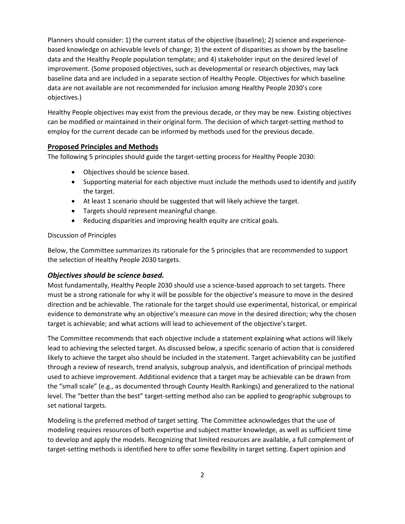Planners should consider: 1) the current status of the objective (baseline); 2) science and experiencebased knowledge on achievable levels of change; 3) the extent of disparities as shown by the baseline data and the Healthy People population template; and 4) stakeholder input on the desired level of improvement. (Some proposed objectives, such as developmental or research objectives, may lack baseline data and are included in a separate section of Healthy People. Objectives for which baseline data are not available are not recommended for inclusion among Healthy People 2030's core objectives.)

Healthy People objectives may exist from the previous decade, or they may be new. Existing objectives can be modified or maintained in their original form. The decision of which target-setting method to employ for the current decade can be informed by methods used for the previous decade.

#### **Proposed Principles and Methods**

The following 5 principles should guide the target-setting process for Healthy People 2030:

- Objectives should be science based.
- Supporting material for each objective must include the methods used to identify and justify the target.
- At least 1 scenario should be suggested that will likely achieve the target.
- Targets should represent meaningful change.
- Reducing disparities and improving health equity are critical goals.

#### Discussion of Principles

Below, the Committee summarizes its rationale for the 5 principles that are recommended to support the selection of Healthy People 2030 targets.

#### *Objectives should be science based.*

Most fundamentally, Healthy People 2030 should use a science-based approach to set targets. There must be a strong rationale for why it will be possible for the objective's measure to move in the desired direction and be achievable. The rationale for the target should use experimental, historical, or empirical evidence to demonstrate why an objective's measure can move in the desired direction; why the chosen target is achievable; and what actions will lead to achievement of the objective's target.

The Committee recommends that each objective include a statement explaining what actions will likely lead to achieving the selected target. As discussed below, a specific scenario of action that is considered likely to achieve the target also should be included in the statement. Target achievability can be justified through a review of research, trend analysis, subgroup analysis, and identification of principal methods used to achieve improvement. Additional evidence that a target may be achievable can be drawn from the "small scale" (e.g., as documented through County Health Rankings) and generalized to the national level. The "better than the best" target-setting method also can be applied to geographic subgroups to set national targets.

Modeling is the preferred method of target setting. The Committee acknowledges that the use of modeling requires resources of both expertise and subject matter knowledge, as well as sufficient time to develop and apply the models. Recognizing that limited resources are available, a full complement of target-setting methods is identified here to offer some flexibility in target setting. Expert opinion and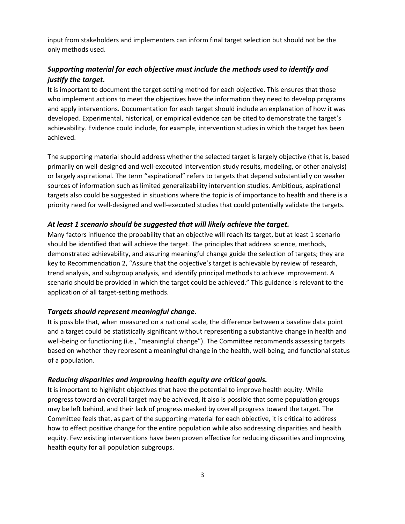input from stakeholders and implementers can inform final target selection but should not be the only methods used.

## *Supporting material for each objective must include the methods used to identify and justify the target.*

It is important to document the target-setting method for each objective. This ensures that those who implement actions to meet the objectives have the information they need to develop programs and apply interventions. Documentation for each target should include an explanation of how it was developed. Experimental, historical, or empirical evidence can be cited to demonstrate the target's achievability. Evidence could include, for example, intervention studies in which the target has been achieved.

The supporting material should address whether the selected target is largely objective (that is, based primarily on well-designed and well-executed intervention study results, modeling, or other analysis) or largely aspirational. The term "aspirational" refers to targets that depend substantially on weaker sources of information such as limited generalizability intervention studies. Ambitious, aspirational targets also could be suggested in situations where the topic is of importance to health and there is a priority need for well-designed and well-executed studies that could potentially validate the targets.

#### *At least 1 scenario should be suggested that will likely achieve the target.*

Many factors influence the probability that an objective will reach its target, but at least 1 scenario should be identified that will achieve the target. The principles that address science, methods, demonstrated achievability, and assuring meaningful change guide the selection of targets; they are key to Recommendation 2, "Assure that the objective's target is achievable by review of research, trend analysis, and subgroup analysis, and identify principal methods to achieve improvement. A scenario should be provided in which the target could be achieved." This guidance is relevant to the application of all target-setting methods.

#### *Targets should represent meaningful change.*

It is possible that, when measured on a national scale, the difference between a baseline data point and a target could be statistically significant without representing a substantive change in health and well-being or functioning (i.e., "meaningful change"). The Committee recommends assessing targets based on whether they represent a meaningful change in the health, well-being, and functional status of a population.

#### *Reducing disparities and improving health equity are critical goals.*

It is important to highlight objectives that have the potential to improve health equity. While progress toward an overall target may be achieved, it also is possible that some population groups may be left behind, and their lack of progress masked by overall progress toward the target. The Committee feels that, as part of the supporting material for each objective, it is critical to address how to effect positive change for the entire population while also addressing disparities and health equity. Few existing interventions have been proven effective for reducing disparities and improving health equity for all population subgroups.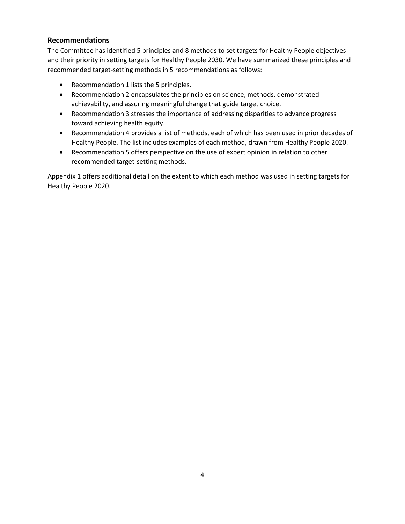### **Recommendations**

The Committee has identified 5 principles and 8 methods to set targets for Healthy People objectives and their priority in setting targets for Healthy People 2030. We have summarized these principles and recommended target-setting methods in 5 recommendations as follows:

- Recommendation 1 lists the 5 principles.
- Recommendation 2 encapsulates the principles on science, methods, demonstrated achievability, and assuring meaningful change that guide target choice.
- Recommendation 3 stresses the importance of addressing disparities to advance progress toward achieving health equity.
- Recommendation 4 provides a list of methods, each of which has been used in prior decades of Healthy People. The list includes examples of each method, drawn from Healthy People 2020.
- Recommendation 5 offers perspective on the use of expert opinion in relation to other recommended target-setting methods.

Appendix 1 offers additional detail on the extent to which each method was used in setting targets for Healthy People 2020.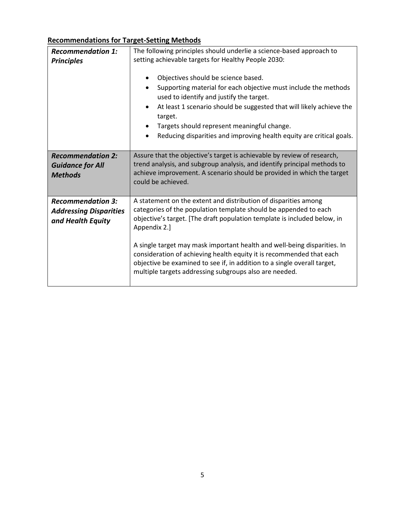## **Recommendations for Target-Setting Methods**

| <b>Recommendation 1:</b><br><b>Principles</b>                                  | The following principles should underlie a science-based approach to<br>setting achievable targets for Healthy People 2030:                                                                                                                                                                                                                                                         |  |  |  |  |  |
|--------------------------------------------------------------------------------|-------------------------------------------------------------------------------------------------------------------------------------------------------------------------------------------------------------------------------------------------------------------------------------------------------------------------------------------------------------------------------------|--|--|--|--|--|
|                                                                                | Objectives should be science based.<br>Supporting material for each objective must include the methods<br>used to identify and justify the target.<br>At least 1 scenario should be suggested that will likely achieve the<br>target.<br>Targets should represent meaningful change.<br>Reducing disparities and improving health equity are critical goals.<br>٠                   |  |  |  |  |  |
| <b>Recommendation 2:</b><br><b>Guidance for All</b><br><b>Methods</b>          | Assure that the objective's target is achievable by review of research,<br>trend analysis, and subgroup analysis, and identify principal methods to<br>achieve improvement. A scenario should be provided in which the target<br>could be achieved.                                                                                                                                 |  |  |  |  |  |
| <b>Recommendation 3:</b><br><b>Addressing Disparities</b><br>and Health Equity | A statement on the extent and distribution of disparities among<br>categories of the population template should be appended to each<br>objective's target. [The draft population template is included below, in<br>Appendix 2.]<br>A single target may mask important health and well-being disparities. In<br>consideration of achieving health equity it is recommended that each |  |  |  |  |  |
|                                                                                | objective be examined to see if, in addition to a single overall target,<br>multiple targets addressing subgroups also are needed.                                                                                                                                                                                                                                                  |  |  |  |  |  |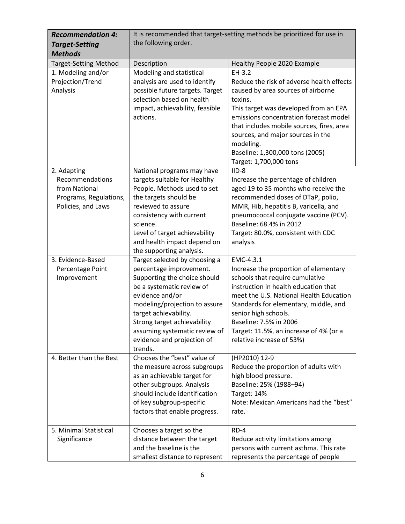| <b>Recommendation 4:</b>                                                                        | It is recommended that target-setting methods be prioritized for use in                                                                                                                                                                                                      |                                                                                                                                                                                                                                                                                                                                                       |  |  |  |  |
|-------------------------------------------------------------------------------------------------|------------------------------------------------------------------------------------------------------------------------------------------------------------------------------------------------------------------------------------------------------------------------------|-------------------------------------------------------------------------------------------------------------------------------------------------------------------------------------------------------------------------------------------------------------------------------------------------------------------------------------------------------|--|--|--|--|
| <b>Target-Setting</b>                                                                           | the following order.                                                                                                                                                                                                                                                         |                                                                                                                                                                                                                                                                                                                                                       |  |  |  |  |
| <b>Methods</b>                                                                                  |                                                                                                                                                                                                                                                                              |                                                                                                                                                                                                                                                                                                                                                       |  |  |  |  |
| <b>Target-Setting Method</b>                                                                    | Description                                                                                                                                                                                                                                                                  | Healthy People 2020 Example                                                                                                                                                                                                                                                                                                                           |  |  |  |  |
| 1. Modeling and/or<br>Projection/Trend<br>Analysis                                              | Modeling and statistical<br>analysis are used to identify<br>possible future targets. Target<br>selection based on health<br>impact, achievability, feasible<br>actions.                                                                                                     | $EH-3.2$<br>Reduce the risk of adverse health effects<br>caused by area sources of airborne<br>toxins.<br>This target was developed from an EPA<br>emissions concentration forecast model<br>that includes mobile sources, fires, area<br>sources, and major sources in the<br>modeling.<br>Baseline: 1,300,000 tons (2005)<br>Target: 1,700,000 tons |  |  |  |  |
| 2. Adapting<br>Recommendations<br>from National<br>Programs, Regulations,<br>Policies, and Laws | National programs may have<br>targets suitable for Healthy<br>People. Methods used to set<br>the targets should be<br>reviewed to assure<br>consistency with current<br>science.<br>Level of target achievability<br>and health impact depend on<br>the supporting analysis. | $IID-8$<br>Increase the percentage of children<br>aged 19 to 35 months who receive the<br>recommended doses of DTaP, polio,<br>MMR, Hib, hepatitis B, varicella, and<br>pneumococcal conjugate vaccine (PCV).<br>Baseline: 68.4% in 2012<br>Target: 80.0%, consistent with CDC<br>analysis                                                            |  |  |  |  |
| 3. Evidence-Based                                                                               | Target selected by choosing a                                                                                                                                                                                                                                                | EMC-4.3.1                                                                                                                                                                                                                                                                                                                                             |  |  |  |  |
| Percentage Point<br>Improvement                                                                 | percentage improvement.<br>Supporting the choice should<br>be a systematic review of<br>evidence and/or<br>modeling/projection to assure<br>target achievability.<br>Strong target achievability<br>assuming systematic review of<br>evidence and projection of<br>trends.   | Increase the proportion of elementary<br>schools that require cumulative<br>instruction in health education that<br>meet the U.S. National Health Education<br>Standards for elementary, middle, and<br>senior high schools.<br>Baseline: 7.5% in 2006<br>Target: 11.5%, an increase of 4% (or a<br>relative increase of 53%)                         |  |  |  |  |
| 4. Better than the Best                                                                         | Chooses the "best" value of<br>the measure across subgroups<br>as an achievable target for<br>other subgroups. Analysis<br>should include identification<br>of key subgroup-specific<br>factors that enable progress.                                                        | (HP2010) 12-9<br>Reduce the proportion of adults with<br>high blood pressure.<br>Baseline: 25% (1988-94)<br>Target: 14%<br>Note: Mexican Americans had the "best"<br>rate.                                                                                                                                                                            |  |  |  |  |
| 5. Minimal Statistical<br>Significance                                                          | Chooses a target so the<br>distance between the target<br>and the baseline is the<br>smallest distance to represent                                                                                                                                                          | RD-4<br>Reduce activity limitations among<br>persons with current asthma. This rate<br>represents the percentage of people                                                                                                                                                                                                                            |  |  |  |  |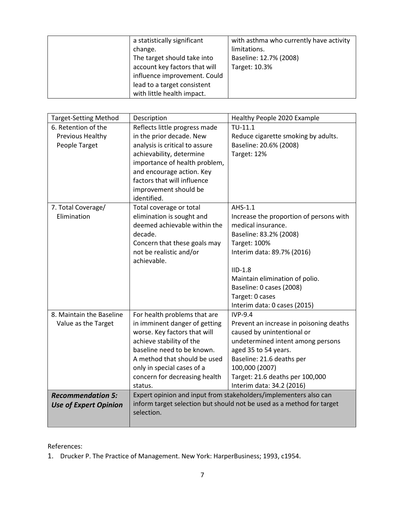| a statistically significant   | with asthma who currently have activity |
|-------------------------------|-----------------------------------------|
| change.                       | limitations.                            |
| The target should take into   | Baseline: 12.7% (2008)                  |
| account key factors that will | Target: 10.3%                           |
| influence improvement. Could  |                                         |
| lead to a target consistent   |                                         |
| with little health impact.    |                                         |

| Reflects little progress made                                    |                                                                                                                                                                                                                                                                                                                                                                                                                                                                                                            |  |  |  |
|------------------------------------------------------------------|------------------------------------------------------------------------------------------------------------------------------------------------------------------------------------------------------------------------------------------------------------------------------------------------------------------------------------------------------------------------------------------------------------------------------------------------------------------------------------------------------------|--|--|--|
|                                                                  | $TU-11.1$                                                                                                                                                                                                                                                                                                                                                                                                                                                                                                  |  |  |  |
| in the prior decade. New                                         | Reduce cigarette smoking by adults.                                                                                                                                                                                                                                                                                                                                                                                                                                                                        |  |  |  |
| analysis is critical to assure                                   | Baseline: 20.6% (2008)                                                                                                                                                                                                                                                                                                                                                                                                                                                                                     |  |  |  |
| achievability, determine                                         | Target: 12%                                                                                                                                                                                                                                                                                                                                                                                                                                                                                                |  |  |  |
| importance of health problem,                                    |                                                                                                                                                                                                                                                                                                                                                                                                                                                                                                            |  |  |  |
| and encourage action. Key                                        |                                                                                                                                                                                                                                                                                                                                                                                                                                                                                                            |  |  |  |
| factors that will influence                                      |                                                                                                                                                                                                                                                                                                                                                                                                                                                                                                            |  |  |  |
| improvement should be                                            |                                                                                                                                                                                                                                                                                                                                                                                                                                                                                                            |  |  |  |
| identified.                                                      |                                                                                                                                                                                                                                                                                                                                                                                                                                                                                                            |  |  |  |
| Total coverage or total                                          | AHS-1.1                                                                                                                                                                                                                                                                                                                                                                                                                                                                                                    |  |  |  |
|                                                                  | Increase the proportion of persons with                                                                                                                                                                                                                                                                                                                                                                                                                                                                    |  |  |  |
|                                                                  | medical insurance.                                                                                                                                                                                                                                                                                                                                                                                                                                                                                         |  |  |  |
|                                                                  | Baseline: 83.2% (2008)                                                                                                                                                                                                                                                                                                                                                                                                                                                                                     |  |  |  |
|                                                                  | Target: 100%                                                                                                                                                                                                                                                                                                                                                                                                                                                                                               |  |  |  |
|                                                                  | Interim data: 89.7% (2016)                                                                                                                                                                                                                                                                                                                                                                                                                                                                                 |  |  |  |
|                                                                  |                                                                                                                                                                                                                                                                                                                                                                                                                                                                                                            |  |  |  |
|                                                                  | $ID-1.8$                                                                                                                                                                                                                                                                                                                                                                                                                                                                                                   |  |  |  |
|                                                                  | Maintain elimination of polio.                                                                                                                                                                                                                                                                                                                                                                                                                                                                             |  |  |  |
|                                                                  | Baseline: 0 cases (2008)                                                                                                                                                                                                                                                                                                                                                                                                                                                                                   |  |  |  |
|                                                                  | Target: 0 cases                                                                                                                                                                                                                                                                                                                                                                                                                                                                                            |  |  |  |
|                                                                  | Interim data: 0 cases (2015)                                                                                                                                                                                                                                                                                                                                                                                                                                                                               |  |  |  |
|                                                                  | <b>IVP-9.4</b>                                                                                                                                                                                                                                                                                                                                                                                                                                                                                             |  |  |  |
|                                                                  | Prevent an increase in poisoning deaths                                                                                                                                                                                                                                                                                                                                                                                                                                                                    |  |  |  |
|                                                                  | caused by unintentional or                                                                                                                                                                                                                                                                                                                                                                                                                                                                                 |  |  |  |
|                                                                  | undetermined intent among persons<br>aged 35 to 54 years.                                                                                                                                                                                                                                                                                                                                                                                                                                                  |  |  |  |
|                                                                  | Baseline: 21.6 deaths per                                                                                                                                                                                                                                                                                                                                                                                                                                                                                  |  |  |  |
|                                                                  | 100,000 (2007)                                                                                                                                                                                                                                                                                                                                                                                                                                                                                             |  |  |  |
|                                                                  | Target: 21.6 deaths per 100,000                                                                                                                                                                                                                                                                                                                                                                                                                                                                            |  |  |  |
|                                                                  | Interim data: 34.2 (2016)                                                                                                                                                                                                                                                                                                                                                                                                                                                                                  |  |  |  |
| Expert opinion and input from stakeholders/implementers also can |                                                                                                                                                                                                                                                                                                                                                                                                                                                                                                            |  |  |  |
|                                                                  |                                                                                                                                                                                                                                                                                                                                                                                                                                                                                                            |  |  |  |
|                                                                  |                                                                                                                                                                                                                                                                                                                                                                                                                                                                                                            |  |  |  |
|                                                                  |                                                                                                                                                                                                                                                                                                                                                                                                                                                                                                            |  |  |  |
|                                                                  | elimination is sought and<br>deemed achievable within the<br>decade.<br>Concern that these goals may<br>not be realistic and/or<br>achievable.<br>For health problems that are<br>in imminent danger of getting<br>worse. Key factors that will<br>achieve stability of the<br>baseline need to be known.<br>A method that should be used<br>only in special cases of a<br>concern for decreasing health<br>status.<br>inform target selection but should not be used as a method for target<br>selection. |  |  |  |

References:

1. Drucker P. The Practice of Management. New York: HarperBusiness; 1993, c1954.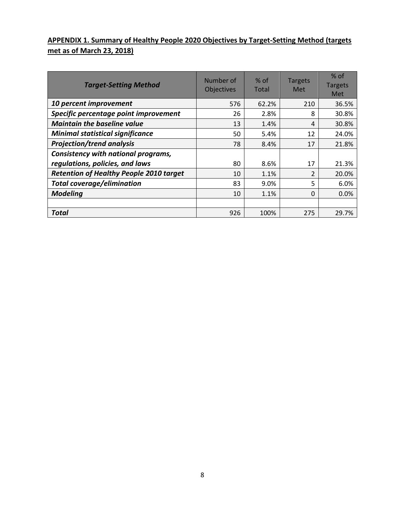# **APPENDIX 1. Summary of Healthy People 2020 Objectives by Target-Setting Method (targets met as of March 23, 2018)**

| <b>Target-Setting Method</b>                   | Number of<br>Objectives | $%$ of<br>Total | <b>Targets</b><br>Met | $%$ of<br><b>Targets</b><br>Met |
|------------------------------------------------|-------------------------|-----------------|-----------------------|---------------------------------|
| 10 percent improvement                         | 576                     | 62.2%           | 210                   | 36.5%                           |
| Specific percentage point improvement          | 26                      | 2.8%            | 8                     | 30.8%                           |
| <b>Maintain the baseline value</b>             | 13                      | 1.4%            | 4                     | 30.8%                           |
| <b>Minimal statistical significance</b>        | 50                      | 5.4%            | 12                    | 24.0%                           |
| <b>Projection/trend analysis</b>               | 78                      | 8.4%            | 17                    | 21.8%                           |
| Consistency with national programs,            |                         |                 |                       |                                 |
| regulations, policies, and laws                | 80                      | 8.6%            | 17                    | 21.3%                           |
| <b>Retention of Healthy People 2010 target</b> | 10                      | 1.1%            | 2                     | 20.0%                           |
| <b>Total coverage/elimination</b>              | 83                      | 9.0%            | 5                     | 6.0%                            |
| <b>Modeling</b>                                | 10                      | 1.1%            | $\Omega$              | 0.0%                            |
|                                                |                         |                 |                       |                                 |
| <b>Total</b>                                   | 926                     | 100%            | 275                   | 29.7%                           |